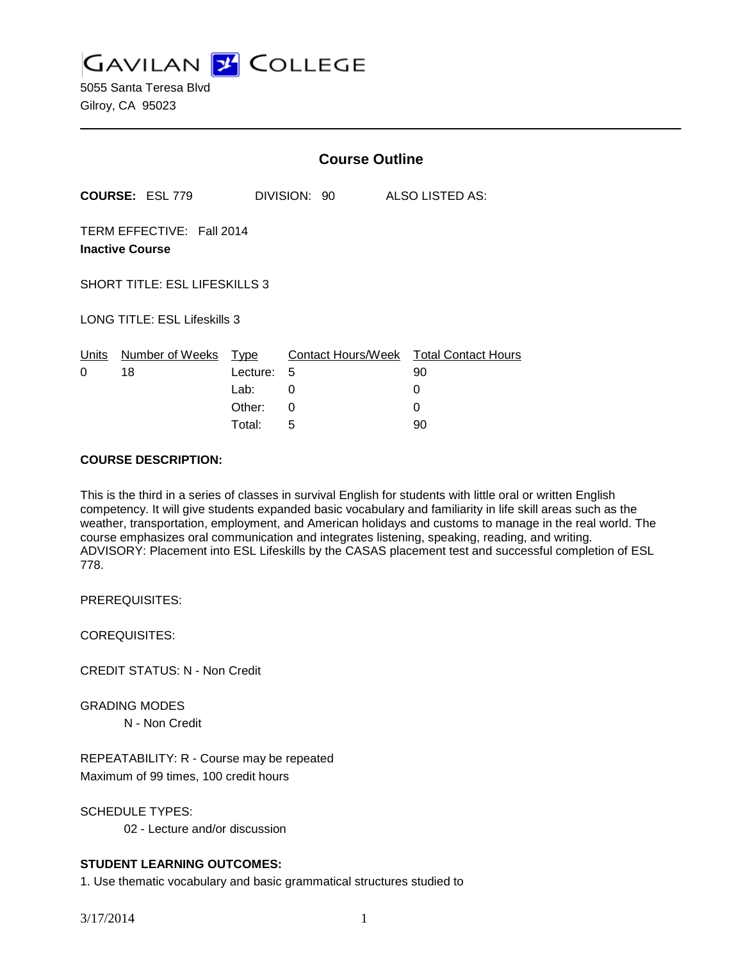**GAVILAN Z COLLEGE** 

5055 Santa Teresa Blvd Gilroy, CA 95023

|                                                     |                        | <b>Course Outline</b>                               |                                        |                    |                            |
|-----------------------------------------------------|------------------------|-----------------------------------------------------|----------------------------------------|--------------------|----------------------------|
|                                                     | <b>COURSE: ESL 779</b> |                                                     | DIVISION: 90                           | ALSO LISTED AS:    |                            |
| TERM EFFECTIVE: Fall 2014<br><b>Inactive Course</b> |                        |                                                     |                                        |                    |                            |
| <b>SHORT TITLE: ESL LIFESKILLS 3</b>                |                        |                                                     |                                        |                    |                            |
| <b>LONG TITLE: ESL Lifeskills 3</b>                 |                        |                                                     |                                        |                    |                            |
| <u>Units</u><br>0                                   | Number of Weeks<br>18  | <u>Type</u><br>Lecture:<br>Lab:<br>Other:<br>Total: | Contact Hours/Week<br>5<br>0<br>0<br>5 | 90<br>0<br>0<br>90 | <b>Total Contact Hours</b> |
|                                                     |                        |                                                     |                                        |                    |                            |

## **COURSE DESCRIPTION:**

This is the third in a series of classes in survival English for students with little oral or written English competency. It will give students expanded basic vocabulary and familiarity in life skill areas such as the weather, transportation, employment, and American holidays and customs to manage in the real world. The course emphasizes oral communication and integrates listening, speaking, reading, and writing. ADVISORY: Placement into ESL Lifeskills by the CASAS placement test and successful completion of ESL 778.

PREREQUISITES:

COREQUISITES:

CREDIT STATUS: N - Non Credit

GRADING MODES

N - Non Credit

REPEATABILITY: R - Course may be repeated Maximum of 99 times, 100 credit hours

SCHEDULE TYPES:

02 - Lecture and/or discussion

# **STUDENT LEARNING OUTCOMES:**

1. Use thematic vocabulary and basic grammatical structures studied to

3/17/2014 1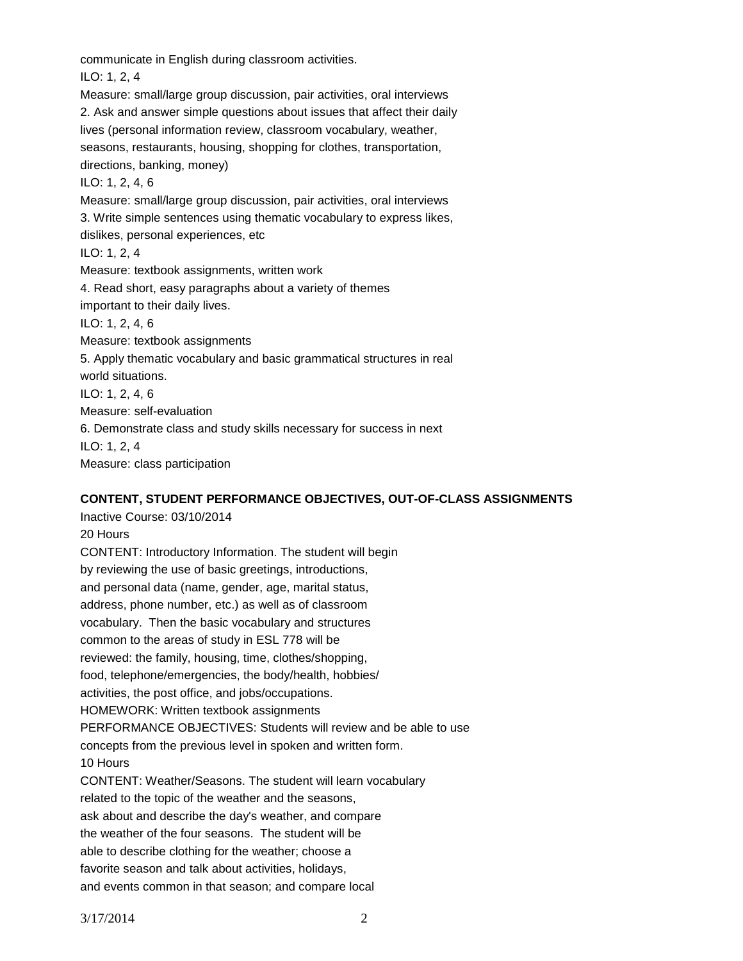communicate in English during classroom activities.

ILO: 1, 2, 4

Measure: small/large group discussion, pair activities, oral interviews 2. Ask and answer simple questions about issues that affect their daily lives (personal information review, classroom vocabulary, weather, seasons, restaurants, housing, shopping for clothes, transportation, directions, banking, money) ILO: 1, 2, 4, 6 Measure: small/large group discussion, pair activities, oral interviews 3. Write simple sentences using thematic vocabulary to express likes, dislikes, personal experiences, etc ILO: 1, 2, 4 Measure: textbook assignments, written work 4. Read short, easy paragraphs about a variety of themes important to their daily lives. ILO: 1, 2, 4, 6 Measure: textbook assignments 5. Apply thematic vocabulary and basic grammatical structures in real world situations. ILO: 1, 2, 4, 6 Measure: self-evaluation 6. Demonstrate class and study skills necessary for success in next ILO: 1, 2, 4 Measure: class participation

## **CONTENT, STUDENT PERFORMANCE OBJECTIVES, OUT-OF-CLASS ASSIGNMENTS**

Inactive Course: 03/10/2014 20 Hours CONTENT: Introductory Information. The student will begin by reviewing the use of basic greetings, introductions, and personal data (name, gender, age, marital status, address, phone number, etc.) as well as of classroom vocabulary. Then the basic vocabulary and structures common to the areas of study in ESL 778 will be reviewed: the family, housing, time, clothes/shopping, food, telephone/emergencies, the body/health, hobbies/ activities, the post office, and jobs/occupations. HOMEWORK: Written textbook assignments PERFORMANCE OBJECTIVES: Students will review and be able to use concepts from the previous level in spoken and written form. 10 Hours CONTENT: Weather/Seasons. The student will learn vocabulary related to the topic of the weather and the seasons, ask about and describe the day's weather, and compare the weather of the four seasons. The student will be able to describe clothing for the weather; choose a favorite season and talk about activities, holidays, and events common in that season; and compare local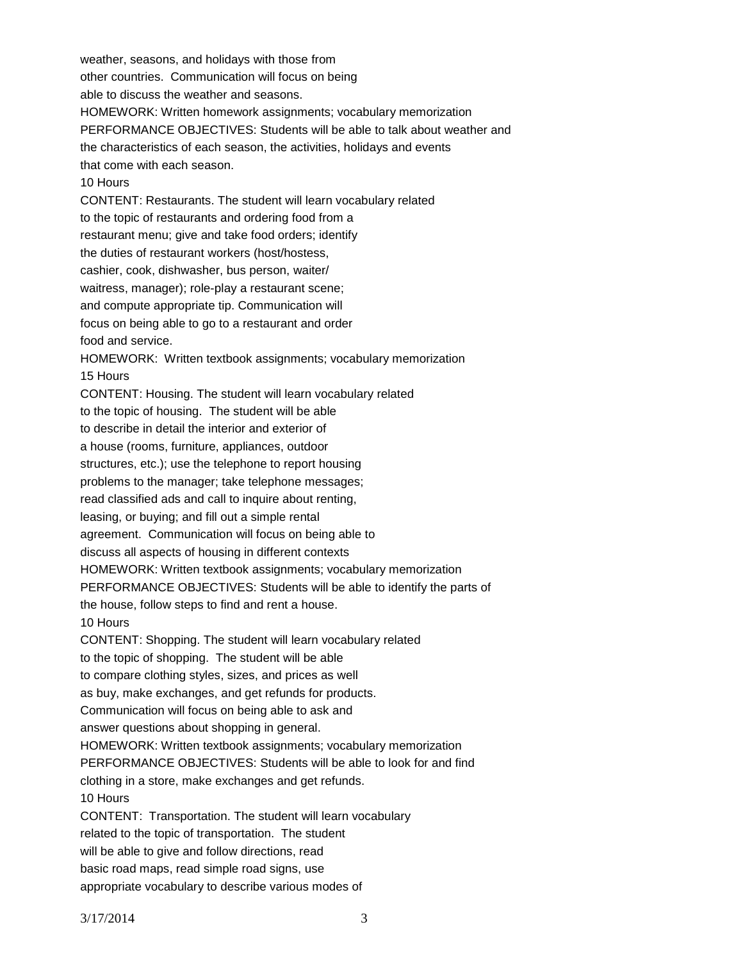weather, seasons, and holidays with those from other countries. Communication will focus on being able to discuss the weather and seasons. HOMEWORK: Written homework assignments; vocabulary memorization PERFORMANCE OBJECTIVES: Students will be able to talk about weather and the characteristics of each season, the activities, holidays and events that come with each season. 10 Hours CONTENT: Restaurants. The student will learn vocabulary related to the topic of restaurants and ordering food from a restaurant menu; give and take food orders; identify the duties of restaurant workers (host/hostess, cashier, cook, dishwasher, bus person, waiter/ waitress, manager); role-play a restaurant scene; and compute appropriate tip. Communication will focus on being able to go to a restaurant and order food and service. HOMEWORK: Written textbook assignments; vocabulary memorization 15 Hours CONTENT: Housing. The student will learn vocabulary related to the topic of housing. The student will be able to describe in detail the interior and exterior of a house (rooms, furniture, appliances, outdoor structures, etc.); use the telephone to report housing problems to the manager; take telephone messages; read classified ads and call to inquire about renting, leasing, or buying; and fill out a simple rental agreement. Communication will focus on being able to discuss all aspects of housing in different contexts HOMEWORK: Written textbook assignments; vocabulary memorization PERFORMANCE OBJECTIVES: Students will be able to identify the parts of the house, follow steps to find and rent a house. 10 Hours CONTENT: Shopping. The student will learn vocabulary related to the topic of shopping. The student will be able to compare clothing styles, sizes, and prices as well as buy, make exchanges, and get refunds for products. Communication will focus on being able to ask and answer questions about shopping in general. HOMEWORK: Written textbook assignments; vocabulary memorization PERFORMANCE OBJECTIVES: Students will be able to look for and find clothing in a store, make exchanges and get refunds. 10 Hours CONTENT: Transportation. The student will learn vocabulary related to the topic of transportation. The student will be able to give and follow directions, read basic road maps, read simple road signs, use appropriate vocabulary to describe various modes of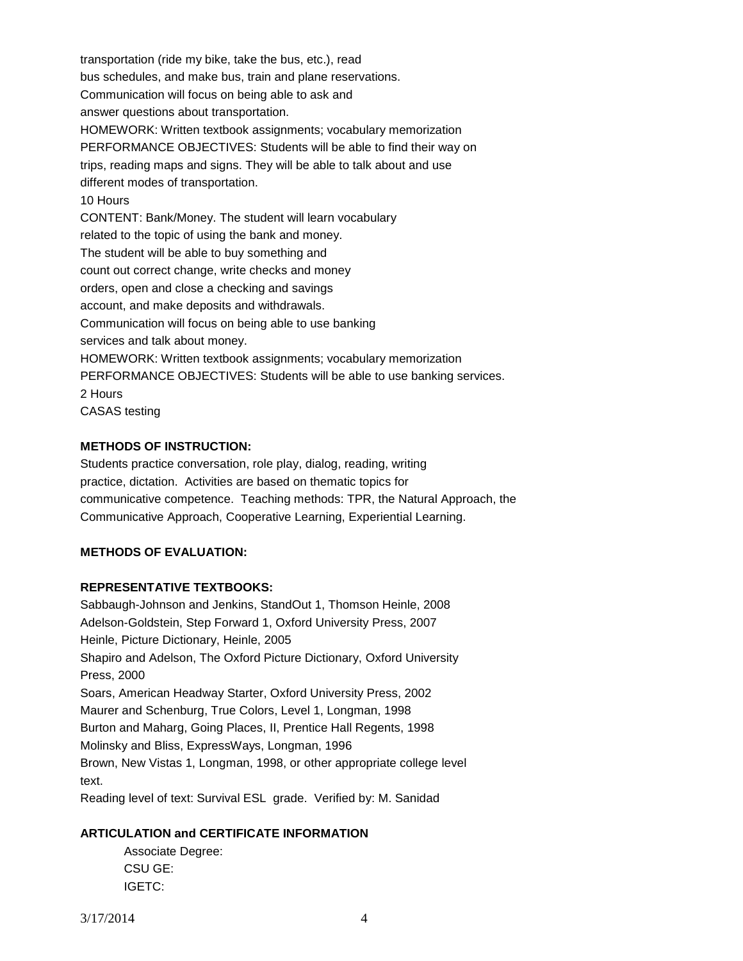transportation (ride my bike, take the bus, etc.), read bus schedules, and make bus, train and plane reservations. Communication will focus on being able to ask and answer questions about transportation. HOMEWORK: Written textbook assignments; vocabulary memorization PERFORMANCE OBJECTIVES: Students will be able to find their way on trips, reading maps and signs. They will be able to talk about and use different modes of transportation. 10 Hours CONTENT: Bank/Money. The student will learn vocabulary related to the topic of using the bank and money. The student will be able to buy something and count out correct change, write checks and money orders, open and close a checking and savings account, and make deposits and withdrawals. Communication will focus on being able to use banking services and talk about money. HOMEWORK: Written textbook assignments; vocabulary memorization PERFORMANCE OBJECTIVES: Students will be able to use banking services. 2 Hours CASAS testing

## **METHODS OF INSTRUCTION:**

Students practice conversation, role play, dialog, reading, writing practice, dictation. Activities are based on thematic topics for communicative competence. Teaching methods: TPR, the Natural Approach, the Communicative Approach, Cooperative Learning, Experiential Learning.

## **METHODS OF EVALUATION:**

#### **REPRESENTATIVE TEXTBOOKS:**

Sabbaugh-Johnson and Jenkins, StandOut 1, Thomson Heinle, 2008 Adelson-Goldstein, Step Forward 1, Oxford University Press, 2007 Heinle, Picture Dictionary, Heinle, 2005 Shapiro and Adelson, The Oxford Picture Dictionary, Oxford University Press, 2000 Soars, American Headway Starter, Oxford University Press, 2002 Maurer and Schenburg, True Colors, Level 1, Longman, 1998 Burton and Maharg, Going Places, II, Prentice Hall Regents, 1998 Molinsky and Bliss, ExpressWays, Longman, 1996 Brown, New Vistas 1, Longman, 1998, or other appropriate college level text. Reading level of text: Survival ESL grade. Verified by: M. Sanidad

#### **ARTICULATION and CERTIFICATE INFORMATION**

Associate Degree: CSU GE: IGETC: